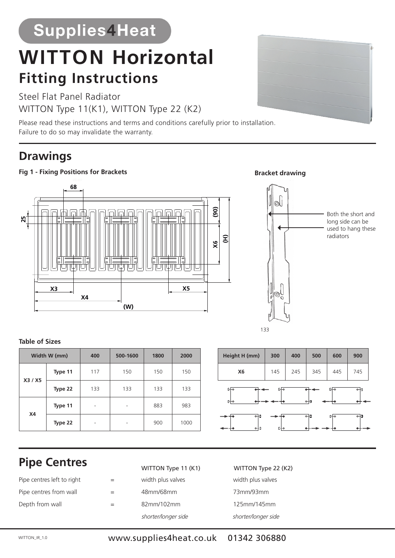# **Supplies4Heat**

# **WITTON Horizontal**<br> **Fitting Instructions**<br>
Steel Flat Panel Radiator<br>
WITTON Type 11(K1), WITTON Type 22 (K2)<br>
Please read these instructions and terms and conditions carefully prior<br>
Failure to do so may invalidate the **Fitting Instructions Fitting Instructions Fitting Instructions**

Steel Flat Panel Radiator Steel Flat Panel Radiator Steel Flat Panel Radiator WITTON Type 11(K1), WITTON Type 22 (K2)

Please read these instructions and terms and conditions carefully prior to installation. Failure to do so may invalidate the warranty. Failure to do so may invalidate the warranty.

## **Drawings Drawings Drawings**

#### **Fig 1 - Fixing Positions for Brackets Fig 1 - Fixing Positions for Brackets Fig 1 - Fixing Positions for Brackets**



#### **Table of Sizes Table of Sizes Table of Sizes**

| Width W (mm) |         | 400 | 500-1600 | 1800 | 2000 |
|--------------|---------|-----|----------|------|------|
| X3 / X5      | Type 11 | 117 | 150      | 150  | 150  |
|              | Type 22 | 133 | 133      | 133  | 133  |
| <b>X4</b>    | Type 11 | ۰   |          | 883  | 983  |
|              | Type 22 |     |          | 900  | 1000 |

# Height H (mm) 300 400 500 600 900 **X6** | 145 | 245 | 345 | 445 | 745 **X6** 145 245 345 445 745 **X6** 145 245 345 445 745

#### **Pipe Centres Pipe Centres Pipe Centres**

| Pipe centres left to right | $=$ |
|----------------------------|-----|
| Pipe centres from wall     |     |
| Depth from wall            | =   |

#### WITTON Type 11 (K1) WITTON Type 22 (K2) WITTON Type

- 
- 
- shorter/longer side

#### width plus valves width plus valves width plus valves width plus valves width plus valves width plus valves width plus valves width plus valves 48mm/68mm 73mm/93mm 48mm/68mm 56mm/76mm 73mm/93mm 48mm/68mm 56mm/76mm 73mm/93mm 82mm/102mm 125mm/145mm shorter/longer side shorter/longer side shorter/longer side shorter/longer side shorter/longer side shorter/longer side

133



Both the short and Both the short and Both the short and long side can be long side can be long side can be used to hang these used to hang these used to hang these

radiators radiators radiators

WITTON\_IR\_1.0